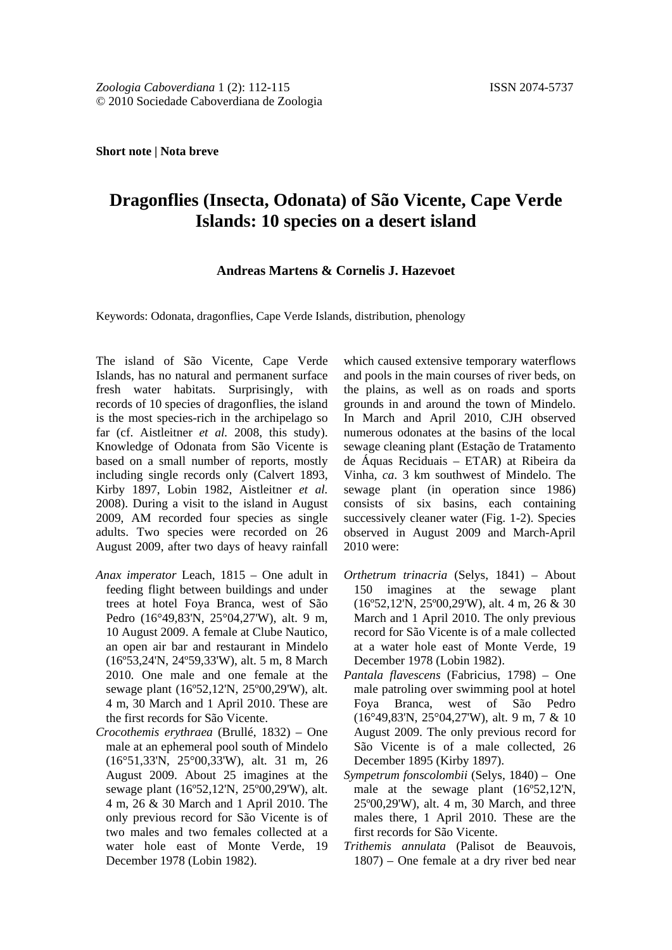#### **Short note | Nota breve**

# **Dragonflies (Insecta, Odonata) of São Vicente, Cape Verde Islands: 10 species on a desert island**

### **Andreas Martens & Cornelis J. Hazevoet**

Keywords: Odonata, dragonflies, Cape Verde Islands, distribution, phenology

The island of São Vicente, Cape Verde Islands, has no natural and permanent surface fresh water habitats. Surprisingly, with records of 10 species of dragonflies, the island is the most species-rich in the archipelago so far (cf. Aistleitner *et al.* 2008, this study). Knowledge of Odonata from São Vicente is based on a small number of reports, mostly including single records only (Calvert 1893, Kirby 1897, Lobin 1982, Aistleitner *et al.* 2008). During a visit to the island in August 2009, AM recorded four species as single adults. Two species were recorded on 26 August 2009, after two days of heavy rainfall

- *Anax imperator* Leach, 1815 One adult in feeding flight between buildings and under trees at hotel Foya Branca, west of São Pedro (16°49,83'N, 25°04,27'W), alt. 9 m, 10 August 2009. A female at Clube Nautico, an open air bar and restaurant in Mindelo (16º53,24'N, 24º59,33'W), alt. 5 m, 8 March 2010. One male and one female at the sewage plant (16º52,12'N, 25º00,29'W), alt. 4 m, 30 March and 1 April 2010. These are the first records for São Vicente.
- *Crocothemis erythraea* (Brullé, 1832) One male at an ephemeral pool south of Mindelo (16°51,33'N, 25°00,33'W), alt. 31 m, 26 August 2009. About 25 imagines at the sewage plant (16º52,12'N, 25º00,29'W), alt. 4 m, 26 & 30 March and 1 April 2010. The only previous record for São Vicente is of two males and two females collected at a water hole east of Monte Verde, 19 December 1978 (Lobin 1982).

which caused extensive temporary waterflows and pools in the main courses of river beds, on the plains, as well as on roads and sports grounds in and around the town of Mindelo. In March and April 2010, CJH observed numerous odonates at the basins of the local sewage cleaning plant (Estação de Tratamento de Áquas Reciduais – ETAR) at Ribeira da Vinha*, ca*. 3 km southwest of Mindelo. The sewage plant (in operation since 1986) consists of six basins, each containing successively cleaner water (Fig. 1-2). Species observed in August 2009 and March-April 2010 were:

- *Orthetrum trinacria* (Selys, 1841) About 150 imagines at the sewage plant (16º52,12'N, 25º00,29'W), alt. 4 m, 26 & 30 March and 1 April 2010. The only previous record for São Vicente is of a male collected at a water hole east of Monte Verde, 19 December 1978 (Lobin 1982).
- *Pantala flavescens* (Fabricius, 1798) One male patroling over swimming pool at hotel Foya Branca, west of São Pedro (16°49,83'N, 25°04,27'W), alt. 9 m, 7 & 10 August 2009. The only previous record for São Vicente is of a male collected, 26 December 1895 (Kirby 1897).
- *Sympetrum fonscolombii* (Selys, 1840) One male at the sewage plant (16º52,12'N, 25º00,29'W), alt. 4 m, 30 March, and three males there, 1 April 2010. These are the first records for São Vicente.
- *Trithemis annulata* (Palisot de Beauvois, 1807) – One female at a dry river bed near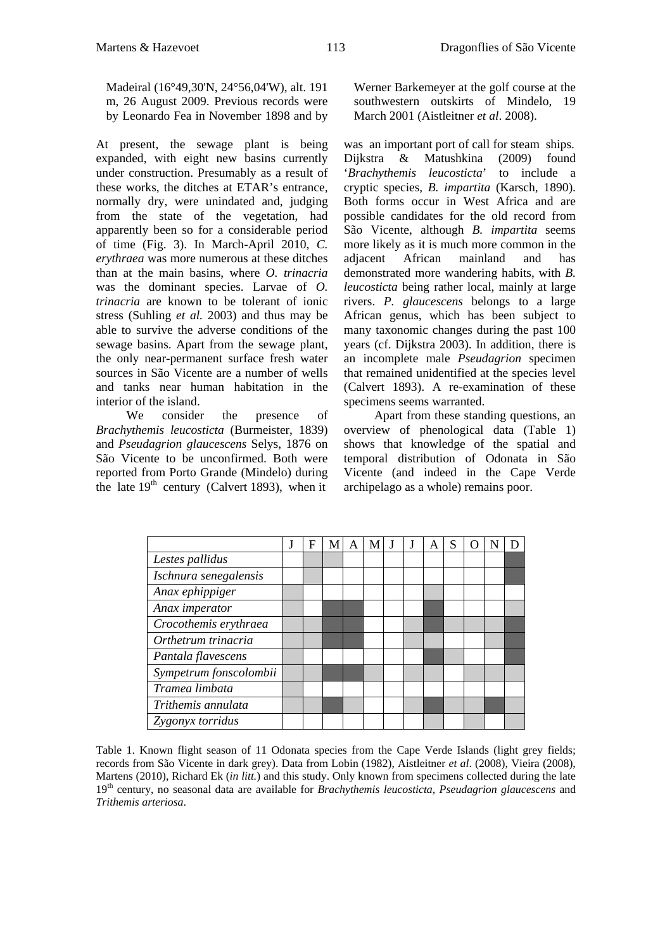Madeiral (16°49,30'N, 24°56,04'W), alt. 191 m, 26 August 2009. Previous records were by Leonardo Fea in November 1898 and by

At present, the sewage plant is being expanded, with eight new basins currently under construction. Presumably as a result of these works, the ditches at ETAR's entrance, normally dry, were unindated and, judging from the state of the vegetation, had apparently been so for a considerable period of time (Fig. 3). In March-April 2010, *C. erythraea* was more numerous at these ditches than at the main basins, where *O. trinacria*  was the dominant species. Larvae of *O. trinacria* are known to be tolerant of ionic stress (Suhling *et al.* 2003) and thus may be able to survive the adverse conditions of the sewage basins. Apart from the sewage plant, the only near-permanent surface fresh water sources in São Vicente are a number of wells and tanks near human habitation in the interior of the island.

We consider the presence of *Brachythemis leucosticta* (Burmeister, 1839) and *Pseudagrion glaucescens* Selys, 1876 on São Vicente to be unconfirmed. Both were reported from Porto Grande (Mindelo) during the late  $19<sup>th</sup>$  century (Calvert 1893), when it

Werner Barkemeyer at the golf course at the southwestern outskirts of Mindelo, 19 March 2001 (Aistleitner *et al*. 2008).

was an important port of call for steam ships. Dijkstra & Matushkina (2009) found '*Brachythemis leucosticta*' to include a cryptic species, *B. impartita* (Karsch, 1890). Both forms occur in West Africa and are possible candidates for the old record from São Vicente, although *B. impartita* seems more likely as it is much more common in the adjacent African mainland and has demonstrated more wandering habits, with *B. leucosticta* being rather local, mainly at large rivers. *P. glaucescens* belongs to a large African genus, which has been subject to many taxonomic changes during the past 100 years (cf. Dijkstra 2003). In addition, there is an incomplete male *Pseudagrion* specimen that remained unidentified at the species level (Calvert 1893). A re-examination of these specimens seems warranted.

Apart from these standing questions, an overview of phenological data (Table 1) shows that knowledge of the spatial and temporal distribution of Odonata in São Vicente (and indeed in the Cape Verde archipelago as a whole) remains poor.

|                        | F | А |  | A | S |  |  |
|------------------------|---|---|--|---|---|--|--|
| Lestes pallidus        |   |   |  |   |   |  |  |
| Ischnura senegalensis  |   |   |  |   |   |  |  |
| Anax ephippiger        |   |   |  |   |   |  |  |
| Anax imperator         |   |   |  |   |   |  |  |
| Crocothemis erythraea  |   |   |  |   |   |  |  |
| Orthetrum trinacria    |   |   |  |   |   |  |  |
| Pantala flavescens     |   |   |  |   |   |  |  |
| Sympetrum fonscolombii |   |   |  |   |   |  |  |
| Tramea limbata         |   |   |  |   |   |  |  |
| Trithemis annulata     |   |   |  |   |   |  |  |
| Zygonyx torridus       |   |   |  |   |   |  |  |

Table 1. Known flight season of 11 Odonata species from the Cape Verde Islands (light grey fields; records from São Vicente in dark grey). Data from Lobin (1982), Aistleitner *et al*. (2008), Vieira (2008), Martens (2010), Richard Ek (*in litt.*) and this study. Only known from specimens collected during the late 19th century, no seasonal data are available for *Brachythemis leucosticta, Pseudagrion glaucescens* and *Trithemis arteriosa*.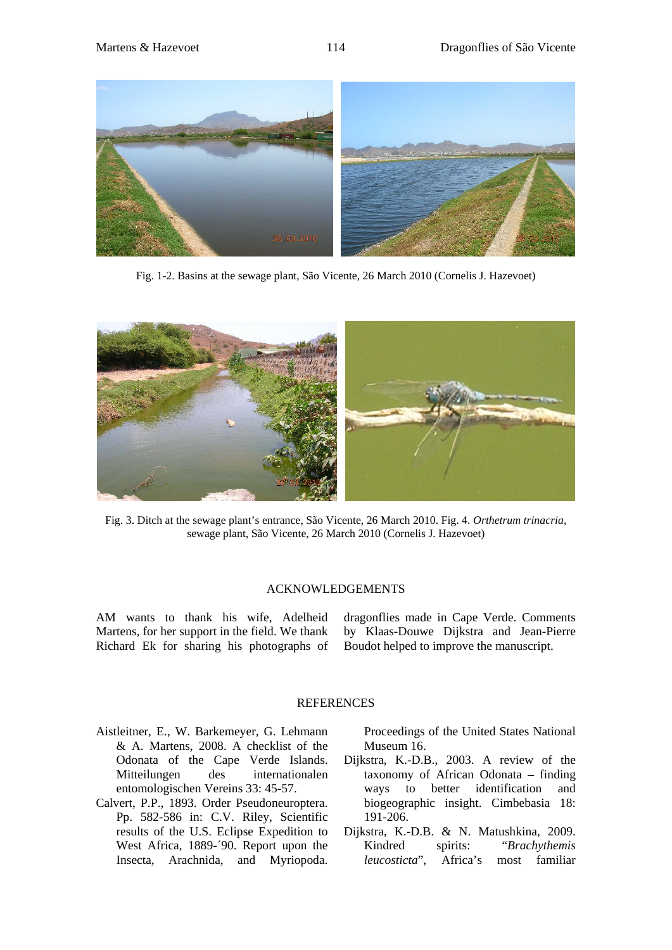

Fig. 1-2. Basins at the sewage plant, São Vicente, 26 March 2010 (Cornelis J. Hazevoet)



Fig. 3. Ditch at the sewage plant's entrance, São Vicente, 26 March 2010. Fig. 4. *Orthetrum trinacria,*  sewage plant, São Vicente, 26 March 2010 (Cornelis J. Hazevoet)

# ACKNOWLEDGEMENTS

AM wants to thank his wife, Adelheid Martens, for her support in the field. We thank Richard Ek for sharing his photographs of dragonflies made in Cape Verde. Comments by Klaas-Douwe Dijkstra and Jean-Pierre Boudot helped to improve the manuscript.

# **REFERENCES**

- Aistleitner, E., W. Barkemeyer, G. Lehmann & A. Martens, 2008. A checklist of the Odonata of the Cape Verde Islands. Mitteilungen des internationalen entomologischen Vereins 33: 45-57.
- Calvert, P.P., 1893. Order Pseudoneuroptera. Pp. 582-586 in: C.V. Riley, Scientific results of the U.S. Eclipse Expedition to West Africa, 1889-´90. Report upon the Insecta, Arachnida, and Myriopoda.

Proceedings of the United States National Museum 16.

- Dijkstra, K.-D.B., 2003. A review of the taxonomy of African Odonata – finding ways to better identification and biogeographic insight. Cimbebasia 18: 191-206.
- Dijkstra, K.-D.B. & N. Matushkina, 2009. Kindred spirits: "*Brachythemis leucosticta*", Africa's most familiar